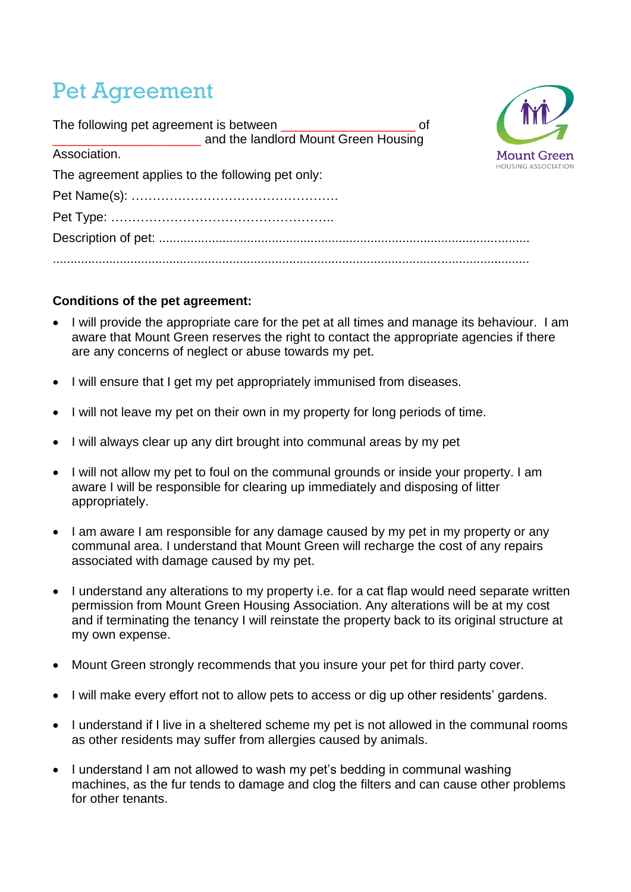## Pet Agreement

| The following pet agreement is between ________________________________ of |                            |
|----------------------------------------------------------------------------|----------------------------|
| __ and the landlord Mount Green Housing                                    |                            |
| Association.                                                               | <b>Mount Green</b>         |
| The agreement applies to the following pet only:                           | <b>HOUSING ASSOCIATION</b> |
|                                                                            |                            |
|                                                                            |                            |
|                                                                            |                            |
|                                                                            |                            |

 $\sqrt{N}$ 

## **Conditions of the pet agreement:**

- I will provide the appropriate care for the pet at all times and manage its behaviour. I am aware that Mount Green reserves the right to contact the appropriate agencies if there are any concerns of neglect or abuse towards my pet.
- I will ensure that I get my pet appropriately immunised from diseases.
- I will not leave my pet on their own in my property for long periods of time.
- I will always clear up any dirt brought into communal areas by my pet
- I will not allow my pet to foul on the communal grounds or inside your property. I am aware I will be responsible for clearing up immediately and disposing of litter appropriately.
- I am aware I am responsible for any damage caused by my pet in my property or any communal area. I understand that Mount Green will recharge the cost of any repairs associated with damage caused by my pet.
- I understand any alterations to my property i.e. for a cat flap would need separate written permission from Mount Green Housing Association. Any alterations will be at my cost and if terminating the tenancy I will reinstate the property back to its original structure at my own expense.
- Mount Green strongly recommends that you insure your pet for third party cover.
- I will make every effort not to allow pets to access or dig up other residents' gardens.
- I understand if I live in a sheltered scheme my pet is not allowed in the communal rooms as other residents may suffer from allergies caused by animals.
- I understand I am not allowed to wash my pet's bedding in communal washing machines, as the fur tends to damage and clog the filters and can cause other problems for other tenants.